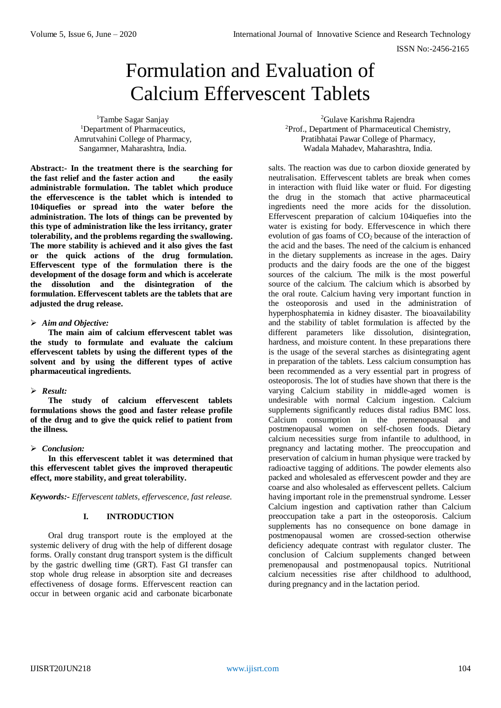# Formulation and Evaluation of Calcium Effervescent Tablets

<sup>1</sup>Tambe Sagar Sanjay <sup>1</sup>Department of Pharmaceutics, Amrutvahini College of Pharmacy, Sangamner, Maharashtra, India.

**Abstract:- In the treatment there is the searching for the fast relief and the faster action and the easily administrable formulation. The tablet which produce the effervescence is the tablet which is intended to 104iquefies or spread into the water before the administration. The lots of things can be prevented by this type of administration like the less irritancy, grater tolerability, and the problems regarding the swallowing. The more stability is achieved and it also gives the fast or the quick actions of the drug formulation. Effervescent type of the formulation there is the development of the dosage form and which is accelerate the dissolution and the disintegration of the formulation. Effervescent tablets are the tablets that are adjusted the drug release.** 

#### *Aim and Objective:*

**The main aim of calcium effervescent tablet was the study to formulate and evaluate the calcium effervescent tablets by using the different types of the solvent and by using the different types of active pharmaceutical ingredients.**

# *Result:*

**The study of calcium effervescent tablets formulations shows the good and faster release profile of the drug and to give the quick relief to patient from the illness.**

# *Conclusion:*

**In this effervescent tablet it was determined that this effervescent tablet gives the improved therapeutic effect, more stability, and great tolerability.**

*Keywords:- Effervescent tablets, effervescence, fast release.*

# **I. INTRODUCTION**

Oral drug transport route is the employed at the systemic delivery of drug with the help of different dosage forms. Orally constant drug transport system is the difficult by the gastric dwelling time (GRT). Fast GI transfer can stop whole drug release in absorption site and decreases effectiveness of dosage forms. Effervescent reaction can occur in between organic acid and carbonate bicarbonate

<sup>2</sup>Gulave Karishma Rajendra <sup>2</sup>Prof., Department of Pharmaceutical Chemistry, Pratibhatai Pawar College of Pharmacy, Wadala Mahadev, Maharashtra, India.

salts. The reaction was due to carbon dioxide generated by neutralisation. Effervescent tablets are break when comes in interaction with fluid like water or fluid. For digesting the drug in the stomach that active pharmaceutical ingredients need the more acids for the dissolution. Effervescent preparation of calcium 104iquefies into the water is existing for body. Effervescence in which there evolution of gas foams of  $CO<sub>2</sub>$  because of the interaction of the acid and the bases. The need of the calcium is enhanced in the dietary supplements as increase in the ages. Dairy products and the dairy foods are the one of the biggest sources of the calcium. The milk is the most powerful source of the calcium. The calcium which is absorbed by the oral route. Calcium having very important function in the osteoporosis and used in the administration of hyperphosphatemia in kidney disaster. The bioavailability and the stability of tablet formulation is affected by the different parameters like dissolution, disintegration, hardness, and moisture content. In these preparations there is the usage of the several starches as disintegrating agent in preparation of the tablets. Less calcium consumption has been recommended as a very essential part in progress of osteoporosis. The lot of studies have shown that there is the varying Calcium stability in middle-aged women is undesirable with normal Calcium ingestion. Calcium supplements significantly reduces distal radius BMC loss. Calcium consumption in the premenopausal and postmenopausal women on self-chosen foods. Dietary calcium necessities surge from infantile to adulthood, in pregnancy and lactating mother. The preoccupation and preservation of calcium in human physique were tracked by radioactive tagging of additions. The powder elements also packed and wholesaled as effervescent powder and they are coarse and also wholesaled as effervescent pellets. Calcium having important role in the premenstrual syndrome. Lesser Calcium ingestion and captivation rather than Calcium preoccupation take a part in the osteoporosis. Calcium supplements has no consequence on bone damage in postmenopausal women are crossed-section otherwise deficiency adequate contrast with regulator cluster. The conclusion of Calcium supplements changed between premenopausal and postmenopausal topics. Nutritional calcium necessities rise after childhood to adulthood, during pregnancy and in the lactation period.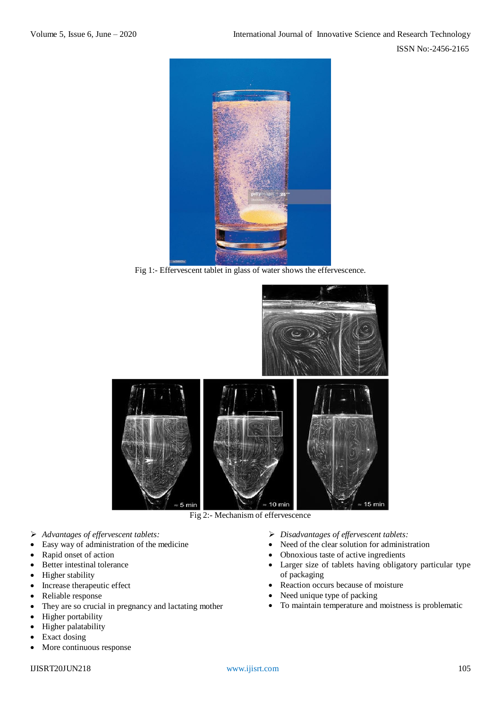

Fig 1:- Effervescent tablet in glass of water shows the effervescence.



Fig 2:- Mechanism of effervescence

- *Advantages of effervescent tablets:*
- Easy way of administration of the medicine
- Rapid onset of action
- Better intestinal tolerance
- Higher stability
- Increase therapeutic effect
- Reliable response
- They are so crucial in pregnancy and lactating mother
- Higher portability
- Higher palatability
- Exact dosing
- More continuous response
- *Disadvantages of effervescent tablets:*
- Need of the clear solution for administration
- Obnoxious taste of active ingredients
- Larger size of tablets having obligatory particular type of packaging
- Reaction occurs because of moisture
- Need unique type of packing
- To maintain temperature and moistness is problematic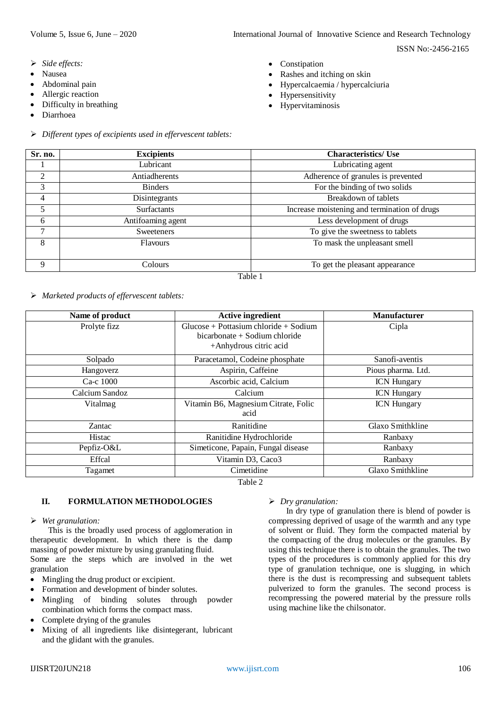ISSN No:-2456-2165

- *Side effects:*
- Nausea
- Abdominal pain
- Allergic reaction
- Difficulty in breathing
- Diarrhoea
- *Different types of excipients used in effervescent tablets:*
- Constipation
- Rashes and itching on skin
- Hypercalcaemia / hypercalciuria
- Hypersensitivity
- Hypervitaminosis

| Sr. no.        | <b>Excipients</b>  | <b>Characteristics/ Use</b>                  |  |  |
|----------------|--------------------|----------------------------------------------|--|--|
|                | Lubricant          | Lubricating agent                            |  |  |
| $\overline{2}$ | Antiadherents      | Adherence of granules is prevented           |  |  |
| 3              | <b>Binders</b>     | For the binding of two solids                |  |  |
| 4              | Disintegrants      | Breakdown of tablets                         |  |  |
| 5              | <b>Surfactants</b> | Increase moistening and termination of drugs |  |  |
| 6              | Antifoaming agent  | Less development of drugs                    |  |  |
| 7              | <b>Sweeteners</b>  | To give the sweetness to tablets             |  |  |
| 8              | <b>Flavours</b>    | To mask the unpleasant smell                 |  |  |
|                |                    |                                              |  |  |
| 9              | Colours            | To get the pleasant appearance               |  |  |
| Table 1        |                    |                                              |  |  |

*Marketed products of effervescent tablets:*

| Name of product | <b>Active ingredient</b>                                                   | <b>Manufacturer</b> |
|-----------------|----------------------------------------------------------------------------|---------------------|
| Prolyte fizz    | $Glucose + Pottasium chloride + Sodium$<br>$bicarbonate + Sodium chloride$ | Cipla               |
|                 | +Anhydrous citric acid                                                     |                     |
| Solpado         | Paracetamol, Codeine phosphate                                             | Sanofi-aventis      |
| Hangoverz       | Aspirin, Caffeine                                                          | Pious pharma. Ltd.  |
| Ca-c 1000       | Ascorbic acid, Calcium                                                     | <b>ICN Hungary</b>  |
| Calcium Sandoz  | Calcium                                                                    | <b>ICN</b> Hungary  |
| Vitalmag        | Vitamin B6, Magnesium Citrate, Folic                                       | <b>ICN</b> Hungary  |
|                 | acid                                                                       |                     |
| Zantac          | Ranitidine                                                                 | Glaxo Smithkline    |
| <b>Histac</b>   | Ranitidine Hydrochloride                                                   | Ranbaxy             |
| Pepfiz-O&L      | Simeticone, Papain, Fungal disease                                         | Ranbaxy             |
| Effcal          | Vitamin D3, Caco3                                                          | Ranbaxy             |
| Tagamet         | Cimetidine                                                                 | Glaxo Smithkline    |

Table 2

# **II. FORMULATION METHODOLOGIES**

#### *Wet granulation:*

This is the broadly used process of agglomeration in therapeutic development. In which there is the damp massing of powder mixture by using granulating fluid. Some are the steps which are involved in the wet granulation

- Mingling the drug product or excipient.
- Formation and development of binder solutes.
- Mingling of binding solutes through powder combination which forms the compact mass.
- Complete drying of the granules
- Mixing of all ingredients like disintegerant, lubricant and the glidant with the granules.

# *Dry granulation:*

In dry type of granulation there is blend of powder is compressing deprived of usage of the warmth and any type of solvent or fluid. They form the compacted material by the compacting of the drug molecules or the granules. By using this technique there is to obtain the granules. The two types of the procedures is commonly applied for this dry type of granulation technique, one is slugging, in which there is the dust is recompressing and subsequent tablets pulverized to form the granules. The second process is recompressing the powered material by the pressure rolls using machine like the chilsonator.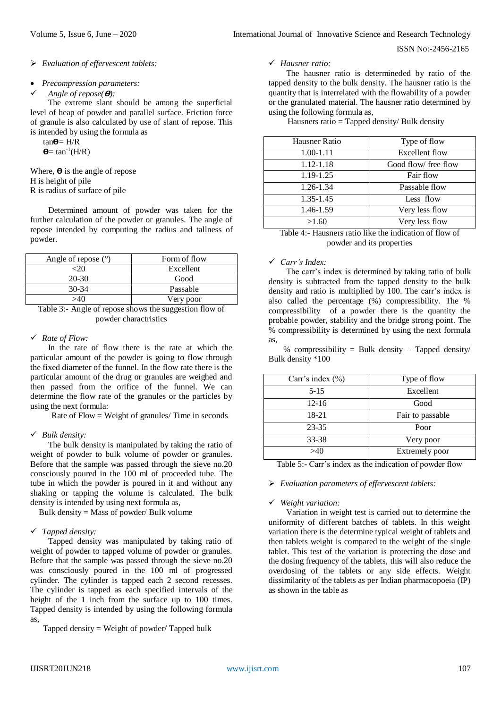ISSN No:-2456-2165

#### *Evaluation of effervescent tablets:*

#### *Precompression parameters:*

```
Angle of repose(\theta):
```
The extreme slant should be among the superficial level of heap of powder and parallel surface. Friction force of granule is also calculated by use of slant of repose. This is intended by using the formula as

 $tan \theta = H/R$ 

 $\Theta$ = tan<sup>-1</sup>(H/R)

Where,  $\theta$  is the angle of repose H is height of pile R is radius of surface of pile

Determined amount of powder was taken for the further calculation of the powder or granules. The angle of repose intended by computing the radius and tallness of powder.

| Angle of repose $(°)$ | Form of flow |
|-----------------------|--------------|
|                       | Excellent    |
| $20-30$               | Good         |
| $30-34$               | Passable     |
|                       | Very poor    |

Table 3:- Angle of repose shows the suggestion flow of powder charactristics

# *Rate of Flow:*

In the rate of flow there is the rate at which the particular amount of the powder is going to flow through the fixed diameter of the funnel. In the flow rate there is the particular amount of the drug or granules are weighed and then passed from the orifice of the funnel. We can determine the flow rate of the granules or the particles by using the next formula:

Rate of Flow = Weight of granules/ Time in seconds

# *Bulk density:*

The bulk density is manipulated by taking the ratio of weight of powder to bulk volume of powder or granules. Before that the sample was passed through the sieve no.20 consciously poured in the 100 ml of proceeded tube. The tube in which the powder is poured in it and without any shaking or tapping the volume is calculated. The bulk density is intended by using next formula as,

Bulk density = Mass of powder/ Bulk volume

# *Tapped density:*

Tapped density was manipulated by taking ratio of weight of powder to tapped volume of powder or granules. Before that the sample was passed through the sieve no.20 was consciously poured in the 100 ml of progressed cylinder. The cylinder is tapped each 2 second recesses. The cylinder is tapped as each specified intervals of the height of the 1 inch from the surface up to 100 times. Tapped density is intended by using the following formula as,

Tapped density = Weight of powder/ Tapped bulk

#### *Hausner ratio:*

The hausner ratio is determineded by ratio of the tapped density to the bulk density. The hausner ratio is the quantity that is interrelated with the flowability of a powder or the granulated material. The hausner ratio determined by using the following formula as,

Hausners ratio = Tapped density/ Bulk density

| Hausner Ratio | Type of flow         |
|---------------|----------------------|
| $1.00 - 1.11$ | Excellent flow       |
| 1.12-1.18     | Good flow/ free flow |
| 1.19-1.25     | Fair flow            |
| 1.26-1.34     | Passable flow        |
| 1.35-1.45     | Less flow            |
| 1.46-1.59     | Very less flow       |
| >1.60         | Very less flow       |

Table 4:- Hausners ratio like the indication of flow of powder and its properties

#### *Carr's Index:*

The carr's index is determined by taking ratio of bulk density is subtracted from the tapped density to the bulk density and ratio is multiplied by 100. The carr's index is also called the percentage (%) compressibility. The % compressibility of a powder there is the quantity the probable powder, stability and the bridge strong point. The % compressibility is determined by using the next formula as,

 % compressibility = Bulk density – Tapped density/ Bulk density \*100

| Carr's index $(\% )$ | Type of flow     |
|----------------------|------------------|
| $5 - 15$             | Excellent        |
| $12 - 16$            | Good             |
| 18-21                | Fair to passable |
| $23 - 35$            | Poor             |
| 33-38                | Very poor        |
| >40                  | Extremely poor   |

Table 5:- Carr's index as the indication of powder flow

#### *Evaluation parameters of effervescent tablets:*

# *Weight variation:*

Variation in weight test is carried out to determine the uniformity of different batches of tablets. In this weight variation there is the determine typical weight of tablets and then tablets weight is compared to the weight of the single tablet. This test of the variation is protecting the dose and the dosing frequency of the tablets, this will also reduce the overdosing of the tablets or any side effects. Weight dissimilarity of the tablets as per Indian pharmacopoeia (IP) as shown in the table as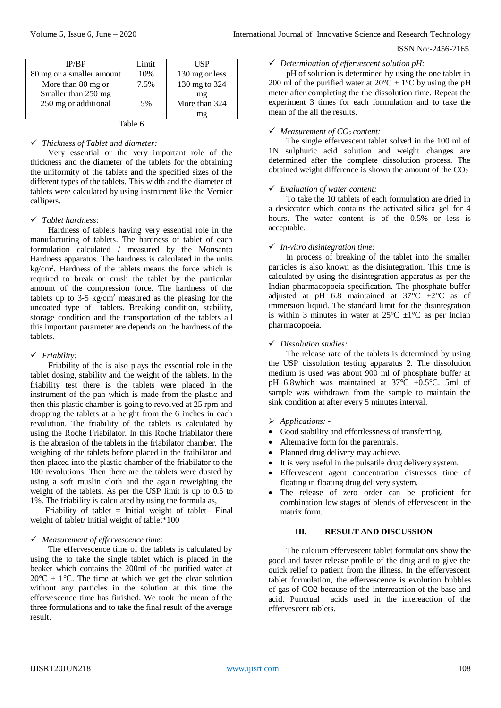#### ISSN No:-2456-2165

| IP/BP                     | Limit | USP            |  |  |
|---------------------------|-------|----------------|--|--|
| 80 mg or a smaller amount | 10%   | 130 mg or less |  |  |
| More than 80 mg or        | 7.5%  | 130 mg to 324  |  |  |
| Smaller than 250 mg       |       | mg             |  |  |
| 250 mg or additional      | 5%    | More than 324  |  |  |
|                           |       | mg             |  |  |
| Table 6                   |       |                |  |  |

# *Thickness of Tablet and diameter:*

Very essential or the very important role of the thickness and the diameter of the tablets for the obtaining the uniformity of the tablets and the specified sizes of the different types of the tablets. This width and the diameter of tablets were calculated by using instrument like the Vernier callipers.

# *Tablet hardness:*

Hardness of tablets having very essential role in the manufacturing of tablets. The hardness of tablet of each formulation calculated / measured by the Monsanto Hardness apparatus. The hardness is calculated in the units kg/cm<sup>2</sup> . Hardness of the tablets means the force which is required to break or crush the tablet by the particular amount of the compression force. The hardness of the tablets up to  $3-5$  kg/cm<sup>2</sup> measured as the pleasing for the uncoated type of tablets. Breaking condition, stability, storage condition and the transportation of the tablets all this important parameter are depends on the hardness of the tablets.

# *Friability:*

Friability of the is also plays the essential role in the tablet dosing, stability and the weight of the tablets. In the friability test there is the tablets were placed in the instrument of the pan which is made from the plastic and then this plastic chamber is going to revolved at 25 rpm and dropping the tablets at a height from the 6 inches in each revolution. The friability of the tablets is calculated by using the Roche Friabilator. In this Roche friabilator there is the abrasion of the tablets in the friabilator chamber. The weighing of the tablets before placed in the fraibilator and then placed into the plastic chamber of the friabilator to the 100 revolutions. Then there are the tablets were dusted by using a soft muslin cloth and the again reweighing the weight of the tablets. As per the USP limit is up to 0.5 to 1%. The friability is calculated by using the formula as,

Friability of tablet = Initial weight of tablet- Final weight of tablet/ Initial weight of tablet\*100

# *Measurement of effervescence time:*

The effervescence time of the tablets is calculated by using the to take the single tablet which is placed in the beaker which contains the 200ml of the purified water at  $20^{\circ}$ C  $\pm$  1<sup>o</sup>C. The time at which we get the clear solution without any particles in the solution at this time the effervescence time has finished. We took the mean of the three formulations and to take the final result of the average result.

# *Determination of effervescent solution pH:*

pH of solution is determined by using the one tablet in 200 ml of the purified water at  $20^{\circ}C \pm 1^{\circ}C$  by using the pH meter after completing the the dissolution time. Repeat the experiment 3 times for each formulation and to take the mean of the all the results.

# *Measurement of CO2 content:*

The single effervescent tablet solved in the 100 ml of 1N sulphuric acid solution and weight changes are determined after the complete dissolution process. The obtained weight difference is shown the amount of the  $CO<sub>2</sub>$ 

# *Evaluation of water content:*

To take the 10 tablets of each formulation are dried in a desiccator which contains the activated silica gel for 4 hours. The water content is of the 0.5% or less is acceptable.

# *In-vitro disintegration time:*

In process of breaking of the tablet into the smaller particles is also known as the disintegration. This time is calculated by using the disintegration apparatus as per the Indian pharmacopoeia specification. The phosphate buffer adjusted at pH 6.8 maintained at  $37^{\circ}$ C  $\pm 2^{\circ}$ C as of immersion liquid. The standard limit for the disintegration is within 3 minutes in water at  $25^{\circ}C \pm 1^{\circ}C$  as per Indian pharmacopoeia.

# *Dissolution studies:*

The release rate of the tablets is determined by using the USP dissolution testing apparatus 2. The dissolution medium is used was about 900 ml of phosphate buffer at pH 6.8which was maintained at  $37^{\circ}$ C  $\pm 0.5^{\circ}$ C. 5ml of sample was withdrawn from the sample to maintain the sink condition at after every 5 minutes interval.

# *Applications: -*

- Good stability and effortlessness of transferring.
- Alternative form for the parentrals.
- Planned drug delivery may achieve.
- It is very useful in the pulsatile drug delivery system.
- Effervescent agent concentration distresses time of floating in floating drug delivery system.
- The release of zero order can be proficient for combination low stages of blends of effervescent in the matrix form.

# **III. RESULT AND DISCUSSION**

The calcium effervescent tablet formulations show the good and faster release profile of the drug and to give the quick relief to patient from the illness. In the effervescent tablet formulation, the effervescence is evolution bubbles of gas of CO2 because of the interreaction of the base and acid. Punctual acids used in the intereaction of the effervescent tablets.